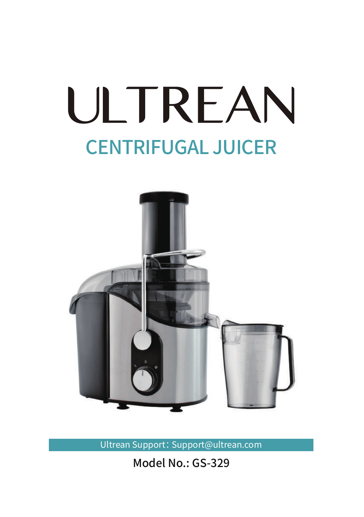# ULTREAN CENTRIFUGAL JUICER



Ultrean Support: Support@ultrean.com

Model No.: GS-329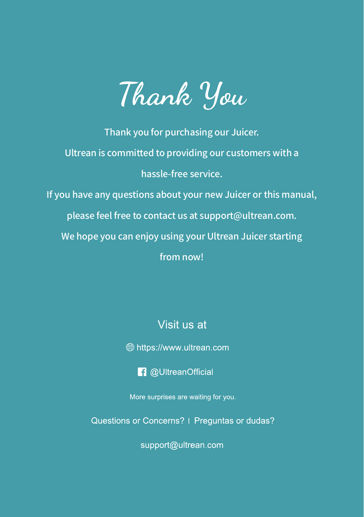

Thank you for purchasing our Juicer. Ultrean is committed to providing our customers with a hassle-free service. If you have any questions about your new Juicer or this manual, please feel free to contact us at support@ultrean.com. We hope you can enjoy using your Ultrean Juicer starting from now!

Visit us at

**<sup>●</sup>** https://www.u|trean.com

**f** @UltreanOfficial

More surprises are waiting for you.

Questions or Concerns? | Preguntas or dudas?

support@ultrean.com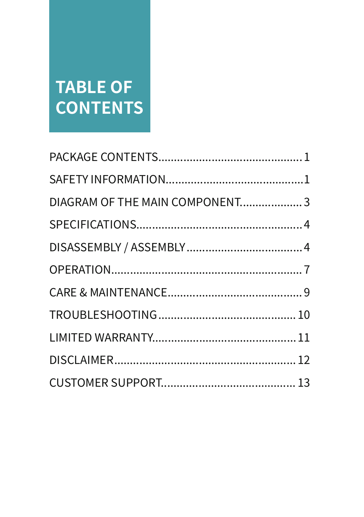### **TABLE OF CONTENTS**

| DIAGRAM OF THE MAIN COMPONENT3 |  |
|--------------------------------|--|
|                                |  |
|                                |  |
|                                |  |
|                                |  |
|                                |  |
|                                |  |
|                                |  |
|                                |  |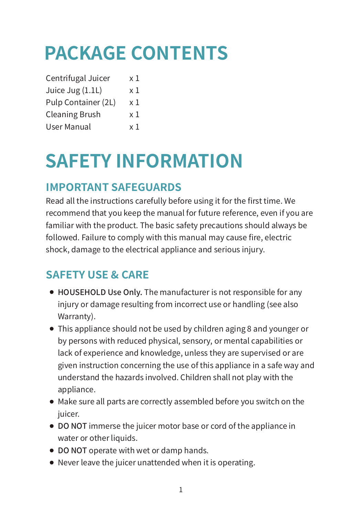# **PACKAGE CONTENTS**

| Centrifugal Juicer    | x 1 |
|-----------------------|-----|
| Juice Jug (1.1L)      | x 1 |
| Pulp Container (2L)   | x 1 |
| <b>Cleaning Brush</b> | x 1 |
| <b>User Manual</b>    | x 1 |

## **SAFETY INFORMATION**

#### **IMPORTANT SAFEGUARDS**

Read all the instructions carefully before using it for the first time. We recommend that you keep the manual for future reference, even if you are familiar with the product. The basic safety precautions should always be followed. Failure to comply with this manual may cause fire, electric shock, damage to the electrical appliance and serious injury.

#### **SAFETY USE & CARE**

- HOUSEHOLD Use Only. The manufacturer is not responsible for any injury or damage resulting from incorrect use or handling (see also Warranty).
- This appliance should not be used by children aging 8 and younger or by persons with reduced physical, sensory, or mental capabilities or lack of experience and knowledge, unless they are supervised or are given instruction concerning the use of this appliance in a safe way and understand the hazards involved. Children shall not play with the appliance.
- Make sure all parts are correctly assembled before you switch on the juicer.
- DO NOT immerse the juicer motor base or cord of the appliance in water or other liquids.
- DO NOT operate with wet or damp hands.
- Never leave the juicer unattended when it is operating.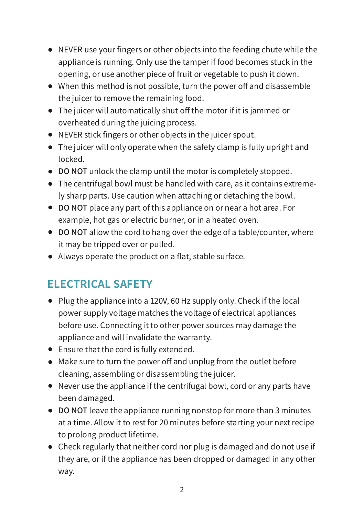- NEVER use your fingers or other objects into the feeding chute while the appliance is running. Only use the tamper if food becomes stuck in the opening, or use another piece of fruit or vegetable to push it down.
- When this method is not possible, turn the power off and disassemble the juicer to remove the remaining food.
- The juicer will automatically shut off the motor if it is jammed or overheated during the juicing process.
- NEVER stick fingers or other objects in the juicer spout.
- The juicer will only operate when the safety clamp is fully upright and locked.
- DO NOT unlock the clamp until the motor is completely stopped.
- The centrifugal bowl must be handled with care, as it contains extremely sharp parts. Use caution when attaching or detaching the bowl.
- DO NOT place any part of this appliance on or near a hot area. For example, hot gas or electric burner, or in a heated oven.
- DO NOT allow the cord to hang over the edge of a table/counter, where it may be tripped over or pulled.
- Always operate the product on a flat, stable surface.

#### **ELECTRICAL SAFETY**

- $\bullet$  Plug the appliance into a 120V, 60 Hz supply only. Check if the local power supply voltage matches the voltage of electrical appliances before use. Connecting it to other power sources may damage the appliance and will invalidate the warranty.
- Ensure that the cord is fully extended.
- Make sure to turn the power off and unplug from the outlet before cleaning, assembling or disassembling the juicer.
- Never use the appliance if the centrifugal bowl, cord or any parts have been damaged.
- DO NOT leave the appliance running nonstop for more than 3 minutes at a time. Allow it to rest for 20 minutes before starting your next recipe to prolong product lifetime.
- Check regularly that neither cord nor plug is damaged and do not use if they are, or if the appliance has been dropped or damaged in any other way.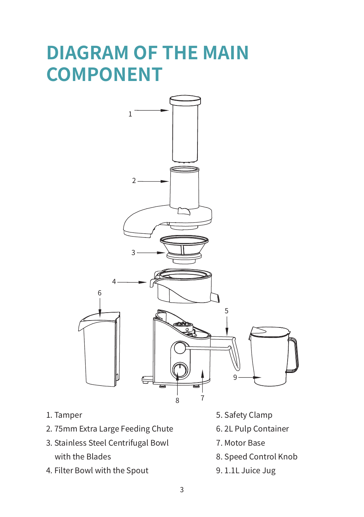### **DIAGRAM OF THE MAIN COMPONENT**



- 1. Tamper
- 2. 75mm Extra Large Feeding Chute
- 3. Stainless Steel Centrifugal Bowl with the Blades
- 4. Filter Bowl with the Spout
- 5. Safety Clamp
- 6. 2L Pulp Container
- 7. Motor Base
- 8. Speed Control Knob
- 9. 1.1L Juice Jug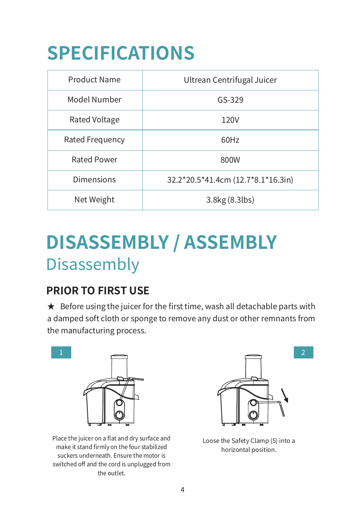# **SPECIFICATIONS**

| Product Name       | Ultrean Centrifugal Juicer         |  |
|--------------------|------------------------------------|--|
| Model Number       | $GS-329$                           |  |
| Rated Voltage      | 120V                               |  |
| Rated Frequency    | 60Hz                               |  |
| <b>Rated Power</b> | 800W                               |  |
| <b>Dimensions</b>  | 32.2*20.5*41.4cm (12.7*8.1*16.3in) |  |
| Net Weight         | 3.8kg (8.3lbs)                     |  |

### Disassembly **DISASSEMBLY / ASSEMBLY**

#### **PRIOR TO FIRST USE**

 $\star$  Before using the juicer for the first time, wash all detachable parts with a damped soft cloth or sponge to remove any dust or other remnants from the manufacturing process.



Place the juicer on a flat and dry surface and make it stand firmly on the four stabilized suckers underneath. Ensure the motor is switched off and the cord is unplugged from the outlet.



Loose the Safety Clamp (5) into a horizontal position.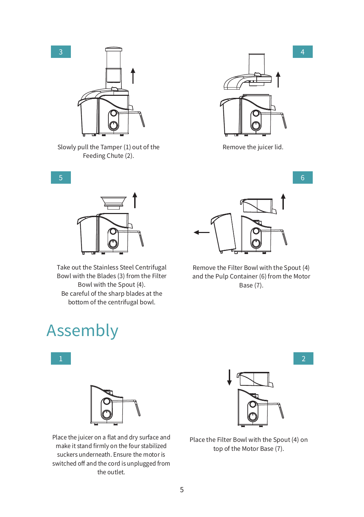

Slowly pull the Tamper (1) out of the Feeding Chute (2).



Remove the juicer lid.

 $\mathcal{F}$ 



Take out the Stainless Steel Centrifugal Bowl with the Blades (3) from the Filter Bowl with the Spout (4). Be careful of the sharp blades at the bottom of the centrifugal bowl.

### Assembly





Place the juicer on a flat and dry surface and make it stand firmly on the four stabilized suckers underneath. Ensure the motor is switched off and the cord is unplugged from the outlet.



Remove the Filter Bowl with the Spout (4) and the Pulp Container (6) from the Motor Base (7).



Place the Filter Bowl with the Spout (4) on top of the Motor Base (7).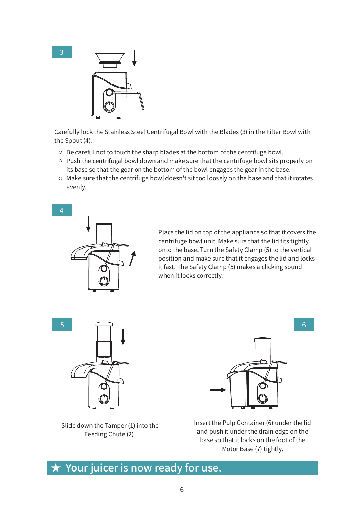



Carefully lock the Stainless Steel Centrifugal Bowl with the Blades (3) in the Filter Bowl with the Spout (4).

- $\circ$  Be careful not to touch the sharp blades at the bottom of the centrifuge bowl.
- $\circ$  Push the centrifugal bowl down and make sure that the centrifuge bowl sits properly on its base so that the gear on the bottom of the bowl engages the gear in the base.
- Make sure that the centrifuge bowl doesn't sit too loosely on the base and that it rotates evenly.



Place the lid on top of the appliance so that it covers the centrifuge bowl unit. Make sure that the lid fits tightly onto the base. Turn the Safety Clamp (5) to the vertical position and make sure that it engages the lid and locks it fast. The Safety Clamp (5) makes a clicking sound when it locks correctly.





Slide down the Tamper (1) into the Feeding Chute (2).

Insert the Pulp Container (6) under the lid and push it under the drain edge on the base so that it locks on the foot of the Motor Base (7) tightly.

#### $\star$  Your juicer is now ready for use.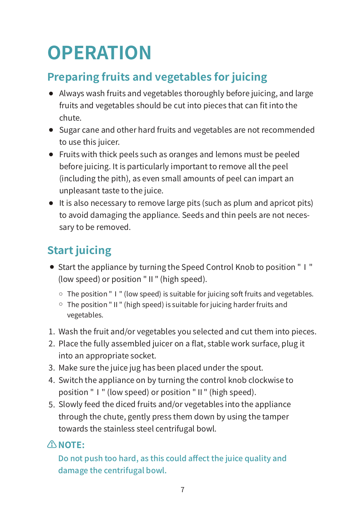# **OPERATION**

#### **Preparing fruits and vegetables for juicing**

- Always wash fruits and vegetables thoroughly before juicing, and large fruits and vegetables should be cut into pieces that can fit into the chute.
- Sugar cane and other hard fruits and vegetables are not recommended to use this juicer.
- Fruits with thick peels such as oranges and lemons must be peeled before juicing. It is particularly important to remove all the peel (including the pith), as even small amounts of peel can impart an unpleasant taste to the juice.
- It is also necessary to remove large pits (such as plum and apricot pits) to avoid damaging the appliance. Seeds and thin peels are not necessary to be removed.

#### **Start juicing**

- Start the appliance by turning the Speed Control Knob to position "Ⅰ" (low speed) or position "Ⅱ" (high speed).
	- The position "Ⅰ" (low speed) is suitable for juicing soft fruits and vegetables.
	- The position "Ⅱ" (high speed) is suitable for juicing harder fruits and vegetables.
- 1. Wash the fruit and/or vegetables you selected and cut them into pieces.
- 2. Place the fully assembled juicer on a flat, stable work surface, plug it into an appropriate socket.
- 3. Make sure the juice jug has been placed under the spout.
- 4. Switch the appliance on by turning the control knob clockwise to position "Ⅰ" (low speed) or position "Ⅱ" (high speed).
- Slowly feed the diced fruits and/or vegetables into the appliance 5. through the chute, gently press them down by using the tamper towards the stainless steel centrifugal bowl.

#### **⚠NOTE:**

Do not push too hard, as this could affect the juice quality and damage the centrifugal bowl.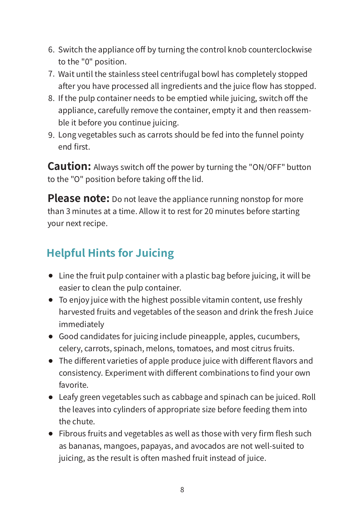- 6. Switch the appliance off by turning the control knob counterclockwise to the "0" position.
- 7. Wait until the stainless steel centrifugal bowl has completely stopped after you have processed all ingredients and the juice flow has stopped.
- 8. If the pulp container needs to be emptied while juicing, switch off the appliance, carefully remove the container, empty it and then reassemble it before you continue juicing.
- Long vegetables such as carrots should be fed into the funnel pointy 9. end first.

**Caution:** Always switch off the power by turning the "ON/OFF" button to the "O" position before taking off the lid.

Please note: Do not leave the appliance running nonstop for more than 3 minutes at a time. Allow it to rest for 20 minutes before starting your next recipe.

#### **Helpful Hints for Juicing**

- Line the fruit pulp container with a plastic bag before juicing, it will be easier to clean the pulp container.
- To enjoy juice with the highest possible vitamin content, use freshly harvested fruits and vegetables of the season and drink the fresh Juice immediately
- Good candidates for juicing include pineapple, apples, cucumbers, celery, carrots, spinach, melons, tomatoes, and most citrus fruits.
- The different varieties of apple produce juice with different flavors and consistency. Experiment with different combinations to find your own favorite.
- Leafy green vegetables such as cabbage and spinach can be juiced. Roll the leaves into cylinders of appropriate size before feeding them into the chute.
- Fibrous fruits and vegetables as well as those with very firm flesh such as bananas, mangoes, papayas, and avocados are not well-suited to juicing, as the result is often mashed fruit instead of juice.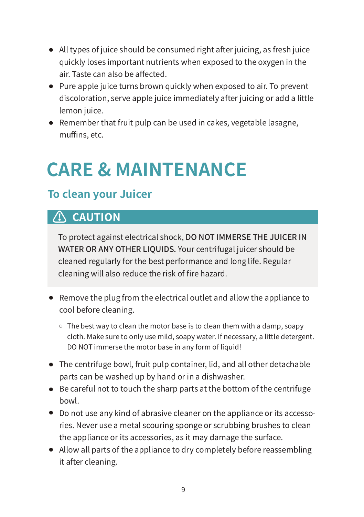- All types of juice should be consumed right after juicing, as fresh juice quickly loses important nutrients when exposed to the oxygen in the air. Taste can also be affected.
- Pure apple juice turns brown quickly when exposed to air. To prevent discoloration, serve apple juice immediately after juicing or add a little lemon juice.
- Remember that fruit pulp can be used in cakes, vegetable lasagne, muffins, etc.

### **CARE & MAINTENANCE**

#### **To clean your Juicer**

#### **⚠ CAUTION**

To protect against electrical shock, DO NOT IMMERSE THE JUICER IN WATER OR ANY OTHER LIQUIDS. Your centrifugal juicer should be cleaned regularly for the best performance and long life. Regular cleaning will also reduce the risk of fire hazard.

- Remove the plug from the electrical outlet and allow the appliance to cool before cleaning.
	- $\circ$  The best way to clean the motor base is to clean them with a damp, soapy cloth. Make sure to only use mild, soapy water. If necessary, a little detergent. DO NOT immerse the motor base in any form of liquid!
- The centrifuge bowl, fruit pulp container, lid, and all other detachable parts can be washed up by hand or in a dishwasher.
- Be careful not to touch the sharp parts at the bottom of the centrifuge bowl.
- Do not use any kind of abrasive cleaner on the appliance or its accessories. Never use a metal scouring sponge or scrubbing brushes to clean the appliance or its accessories, as it may damage the surface.
- Allow all parts of the appliance to dry completely before reassembling it after cleaning.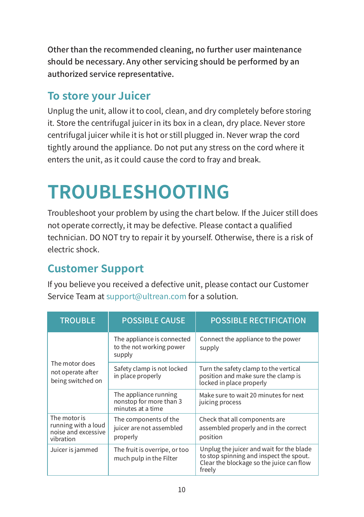Other than the recommended cleaning, no further user maintenance should be necessary. Any other servicing should be performed by an authorized service representative.

#### **To store your Juicer**

Unplug the unit, allow it to cool, clean, and dry completely before storing it. Store the centrifugal juicer in its box in a clean, dry place. Never store centrifugal juicer while it is hot or still plugged in. Never wrap the cord tightly around the appliance. Do not put any stress on the cord where it enters the unit, as it could cause the cord to fray and break.

### **TROUBLESHOOTING**

Troubleshoot your problem by using the chart below. If the Juicer still does not operate correctly, it may be defective. Please contact a qualified technician. DO NOT try to repair it by yourself. Otherwise, there is a risk of electric shock.

#### **Customer Support**

If you believe you received a defective unit, please contact our Customer Service Team at support@ultrean.com for a solution.

| <b>TROUBLE</b>                                                          | <b>POSSIBLE CAUSE</b>                                                 | <b>POSSIBLE RECTIFICATION</b>                                                                                                             |
|-------------------------------------------------------------------------|-----------------------------------------------------------------------|-------------------------------------------------------------------------------------------------------------------------------------------|
| The motor does<br>not operate after<br>being switched on                | The appliance is connected<br>to the not working power<br>supply      | Connect the appliance to the power<br>supply                                                                                              |
|                                                                         | Safety clamp is not locked<br>in place properly                       | Turn the safety clamp to the vertical<br>position and make sure the clamp is<br>locked in place properly                                  |
|                                                                         | The appliance running<br>nonstop for more than 3<br>minutes at a time | Make sure to wait 20 minutes for next<br>juicing process                                                                                  |
| The motor is<br>running with a loud<br>noise and excessive<br>vibration | The components of the<br>juicer are not assembled<br>properly         | Check that all components are<br>assembled properly and in the correct<br>position                                                        |
| Juicer is jammed                                                        | The fruit is overripe, or too<br>much pulp in the Filter              | Unplug the juicer and wait for the blade<br>to stop spinning and inspect the spout.<br>Clear the blockage so the juice can flow<br>freely |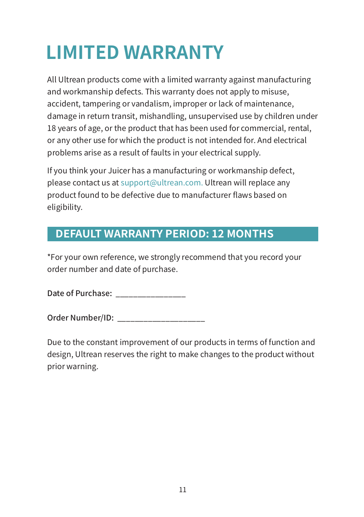# **LIMITED WARRANTY**

All Ultrean products come with a limited warranty against manufacturing and workmanship defects. This warranty does not apply to misuse, accident, tampering or vandalism, improper or lack of maintenance, damage in return transit, mishandling, unsupervised use by children under 18 years of age, or the product that has been used for commercial, rental, or any other use for which the product is not intended for. And electrical problems arise as a result of faults in your electrical supply.

If you think your Juicer has a manufacturing or workmanship defect, please contact us at support@ultrean.com. Ultrean will replace any product found to be defective due to manufacturer flaws based on eligibility.

#### **DEFAULT WARRANTY PERIOD: 12 MONTHS**

\*For your own reference, we strongly recommend that you record your order number and date of purchase.

Date of Purchase:

Order Number/ID: **William Community** 

Due to the constant improvement of our products in terms of function and design, Ultrean reserves the right to make changes to the product without prior warning.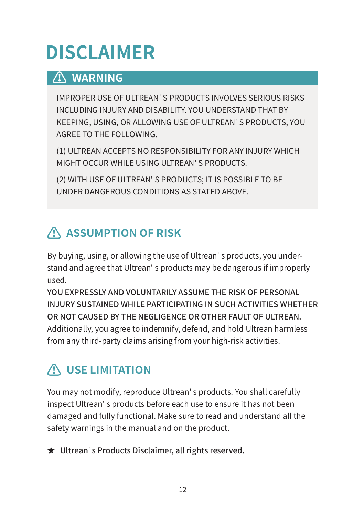# **DISCLAIMER**

#### **⚠ WARNING**

IMPROPER USE OF ULTREAN' S PRODUCTS INVOLVES SERIOUS RISKS INCLUDING INJURY AND DISABILITY. YOU UNDERSTAND THAT BY KEEPING, USING, OR ALLOWING USE OF ULTREAN' S PRODUCTS, YOU AGREE TO THE FOLLOWING.

(1) ULTREAN ACCEPTS NO RESPONSIBILITY FOR ANY INJURY WHICH MIGHT OCCUR WHILE USING ULTREAN' S PRODUCTS.

(2) WITH USE OF ULTREAN' S PRODUCTS; IT IS POSSIBLE TO BE UNDER DANGEROUS CONDITIONS AS STATED ABOVE.

#### **⚠ ASSUMPTION OF RISK**

By buying, using, or allowing the use of Ultrean' s products, you understand and agree that Ultrean' s products may be dangerous if improperly used.

YOU EXPRESSLY AND VOLUNTARILY ASSUME THE RISK OF PERSONAL INJURY SUSTAINED WHILE PARTICIPATING IN SUCH ACTIVITIES WHETHER OR NOT CAUSED BY THE NEGLIGENCE OR OTHER FAULT OF ULTREAN. Additionally, you agree to indemnify, defend, and hold Ultrean harmless from any third-party claims arising from your high-risk activities.

#### **⚠ USE LIMITATION**

You may not modify, reproduce Ultrean' s products. You shall carefully inspect Ultrean' s products before each use to ensure it has not been damaged and fully functional. Make sure to read and understand all the safety warnings in the manual and on the product.

★ Ultrean' s Products Disclaimer, all rights reserved.